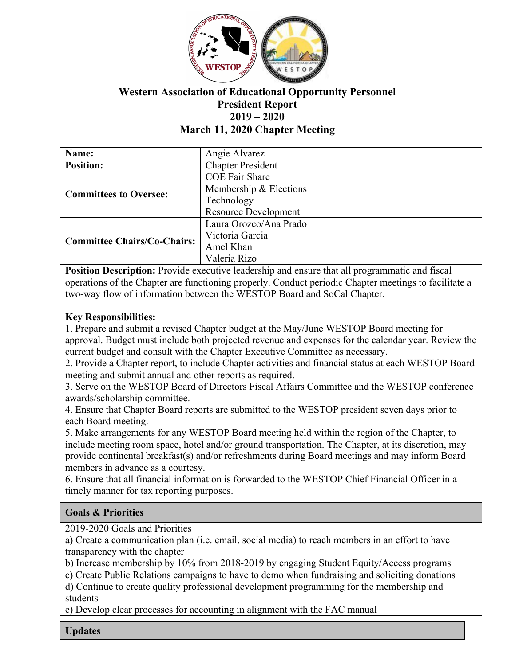

# **Western Association of Educational Opportunity Personnel President Report 2019 – 2020 March 11, 2020 Chapter Meeting**

| Name:                              | Angie Alvarez               |
|------------------------------------|-----------------------------|
| <b>Position:</b>                   | <b>Chapter President</b>    |
| <b>Committees to Oversee:</b>      | <b>COE Fair Share</b>       |
|                                    | Membership & Elections      |
|                                    | Technology                  |
|                                    | <b>Resource Development</b> |
| <b>Committee Chairs/Co-Chairs:</b> | Laura Orozco/Ana Prado      |
|                                    | Victoria Garcia             |
|                                    | Amel Khan                   |
|                                    | Valeria Rizo                |

**Position Description:** Provide executive leadership and ensure that all programmatic and fiscal operations of the Chapter are functioning properly. Conduct periodic Chapter meetings to facilitate a two-way flow of information between the WESTOP Board and SoCal Chapter.

#### **Key Responsibilities:**

1. Prepare and submit a revised Chapter budget at the May/June WESTOP Board meeting for approval. Budget must include both projected revenue and expenses for the calendar year. Review the current budget and consult with the Chapter Executive Committee as necessary.

2. Provide a Chapter report, to include Chapter activities and financial status at each WESTOP Board meeting and submit annual and other reports as required.

3. Serve on the WESTOP Board of Directors Fiscal Affairs Committee and the WESTOP conference awards/scholarship committee.

4. Ensure that Chapter Board reports are submitted to the WESTOP president seven days prior to each Board meeting.

5. Make arrangements for any WESTOP Board meeting held within the region of the Chapter, to include meeting room space, hotel and/or ground transportation. The Chapter, at its discretion, may provide continental breakfast(s) and/or refreshments during Board meetings and may inform Board members in advance as a courtesy.

6. Ensure that all financial information is forwarded to the WESTOP Chief Financial Officer in a timely manner for tax reporting purposes.

#### **Goals & Priorities**

2019-2020 Goals and Priorities

a) Create a communication plan (i.e. email, social media) to reach members in an effort to have transparency with the chapter

b) Increase membership by 10% from 2018-2019 by engaging Student Equity/Access programs

c) Create Public Relations campaigns to have to demo when fundraising and soliciting donations

d) Continue to create quality professional development programming for the membership and students

e) Develop clear processes for accounting in alignment with the FAC manual

**Updates**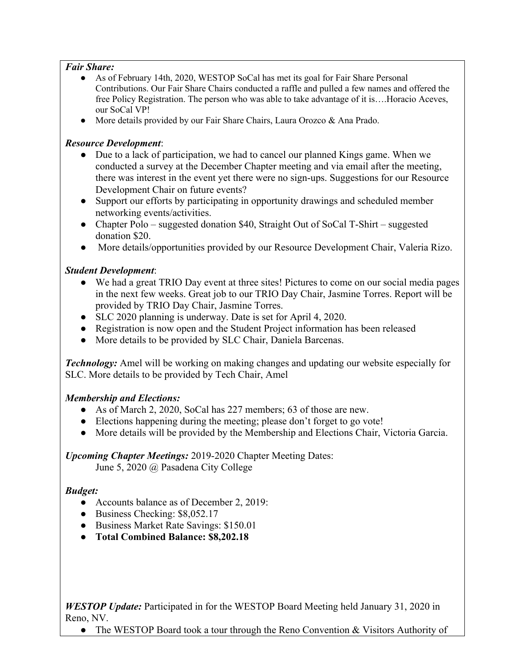#### *Fair Share:*

- As of February 14th, 2020, WESTOP SoCal has met its goal for Fair Share Personal Contributions. Our Fair Share Chairs conducted a raffle and pulled a few names and offered the free Policy Registration. The person who was able to take advantage of it is….Horacio Aceves, our SoCal VP!
- More details provided by our Fair Share Chairs, Laura Orozco & Ana Prado.

# *Resource Development*:

- Due to a lack of participation, we had to cancel our planned Kings game. When we conducted a survey at the December Chapter meeting and via email after the meeting, there was interest in the event yet there were no sign-ups. Suggestions for our Resource Development Chair on future events?
- Support our efforts by participating in opportunity drawings and scheduled member networking events/activities.
- Chapter Polo suggested donation \$40, Straight Out of SoCal T-Shirt suggested donation \$20.
- More details/opportunities provided by our Resource Development Chair, Valeria Rizo.

# *Student Development*:

- We had a great TRIO Day event at three sites! Pictures to come on our social media pages in the next few weeks. Great job to our TRIO Day Chair, Jasmine Torres. Report will be provided by TRIO Day Chair, Jasmine Torres.
- SLC 2020 planning is underway. Date is set for April 4, 2020.
- Registration is now open and the Student Project information has been released
- More details to be provided by SLC Chair, Daniela Barcenas.

*Technology:* Amel will be working on making changes and updating our website especially for SLC. More details to be provided by Tech Chair, Amel

# *Membership and Elections:*

- As of March 2, 2020, SoCal has 227 members; 63 of those are new.
- Elections happening during the meeting; please don't forget to go vote!
- More details will be provided by the Membership and Elections Chair, Victoria Garcia.

# *Upcoming Chapter Meetings:* 2019-2020 Chapter Meeting Dates:

June 5, 2020 @ Pasadena City College

# *Budget:*

- Accounts balance as of December 2, 2019:
- Business Checking: \$8,052.17
- Business Market Rate Savings: \$150.01
- **Total Combined Balance: \$8,202.18**

*WESTOP Update:* Participated in for the WESTOP Board Meeting held January 31, 2020 in Reno, NV.

• The WESTOP Board took a tour through the Reno Convention & Visitors Authority of